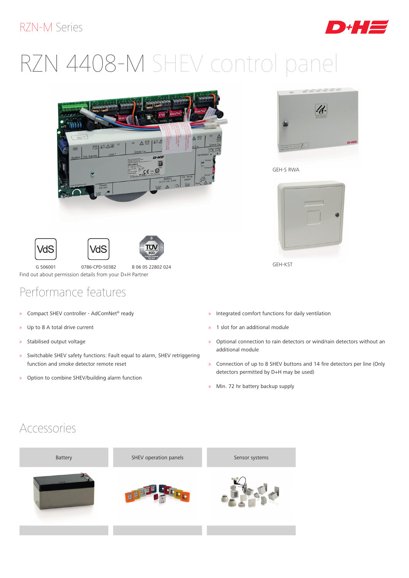#### RZN-M Series



# RZN 4408-M SHEV control panel







ח"ת

G 506001 0786-CPD-50382 B 06 05 22802 024 Find out about permission details from your D+H Partner

### Performance features

- » Compact SHEV controller AdComNet® ready
- » Up to 8 A total drive current
- » Stabilised output voltage
- » Switchable SHEV safety functions: Fault equal to alarm, SHEV retriggering function and smoke detector remote reset
- » Option to combine SHEV/building alarm function



GEH-S RWA



GEH-KST

- » Integrated comfort functions for daily ventilation
- » 1 slot for an additional module
- » Optional connection to rain detectors or wind/rain detectors without an additional module
- » Connection of up to 8 SHEV buttons and 14 fire detectors per line (Only detectors permitted by D+H may be used)
- » Min. 72 hr battery backup supply

#### Accessories